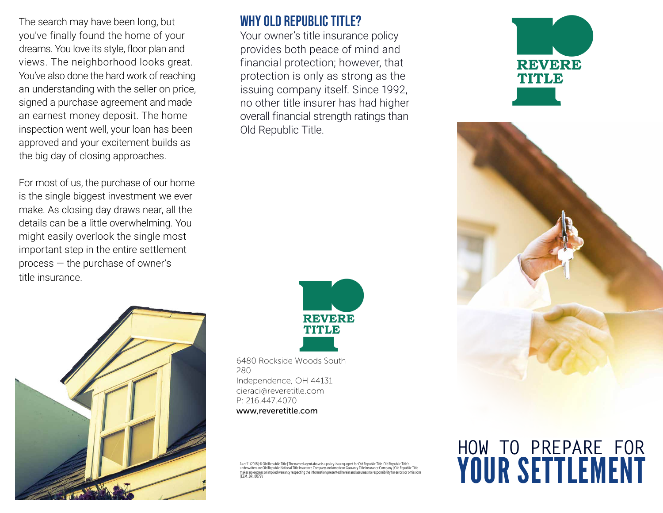The search may have been long, but you've finally found the home of your dreams. You love its style, floor plan and views. The neighborhood looks great. You've also done the hard work of reaching an understanding with the seller on price, signed a purchase agreement and made an earnest money deposit. The home inspection went well, your loan has been approved and your excitement builds as the big day of closing approaches.

For most of us, the purchase of our home is the single biggest investment we ever make. As closing day draws near, all the details can be a little overwhelming. You might easily overlook the single most important step in the entire settlement process — the purchase of owner's title insurance.

#### WHY OLD REPUBLIC TITLE?

Your owner's title insurance policy provides both peace of mind and financial protection; however, that protection is only as strong as the issuing company itself. Since 1992, no other title insurer has had higher overall financial strength ratings than Old Republic Title.





6480 Rockside Woods South 280 Independence, OH 44131 cieraci@reveretitle.com P: 216.447.4070 www,reveretitle.com

underwriters are Old Republic National Title Insurance Company and American Guaranty Title Insurance Company | Old Republic Title<br>makes no express or implied warranty respecting the information presented herein and assumes | EZM\_BR\_0079V





# **HOW TO PREPARE FOR** YOUR SETTLEMENT